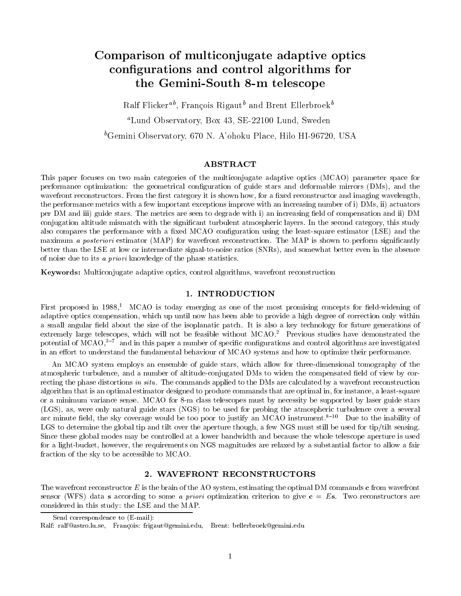# Comparison of multiconjugate adaptive optics congurations and control algorithms for the Gemini-South 8-m telescope

Ralf Flicker T, François Rigaut and Brent Ellerbroek T aLund Observatory, Box 43, SE-22100 Lund, Sweden  ${}^b$ Gemini Observatory, 670 N. A'ohoku Place, Hilo HI-96720, USA

# ABSTRACT

This paper focuses on two main categories of the multiconjugate adaptive optics (MCAO) parameter space for performance optimization: the geometrical conguration of guide stars and deformable mirrors (DMs), and the wavefront reconstructors. From the first category it is shown how, for a fixed reconstructor and imaging wavelength, the performance metrics with a few important exceptions improve with an increasing number of i) DMs, ii) actuators per DM and iii) guide stars. The metrics are seen to degrade with i) an increasing field of compensation and ii) DM conjugation altitude mismatch with the signicant turbulent atmospheric layers. In the second category, this study also compares the performance with a fixed MCAO configuration using the least-square estimator (LSE) and the maximum a posteriori estimator (MAP) for wavefront reconstruction. The MAP is shown to perform significantly better than the LSE at low or intermediate signal-to-noise ratios (SNRs), and somewhat better even in the absence of noise due to its a priori knowledge of the phase statistics.

Keywords: Multiconjugate adaptive optics, control algorithms, wavefront reconstruction

# 1. INTRODUCTION

First proposed in  $1988<sup>1</sup>$  MCAO is today emerging as one of the most promising concepts for field-widening of adaptive optics compensation, which up until now has been able to provide a high degree of correction only within a small angular field about the size of the isoplanatic patch. It is also a key technology for future generations of extremely large telescopes, which will not be feasible without MCAO.<sup>2</sup> Previous studies have demonstrated the potential of  $\overline{MCAO}$ ,<sup>3-7</sup> and in this paper a number of specific configurations and control algorithms are investigated in an effort to understand the fundamental behaviour of MCAO systems and how to optimize their performance.

An MCAO system employs an ensemble of guide stars, which allow for three-dimensional tomography of the atmospheric turbulence, and a number of altitude-conjugated DMs to widen the compensated field of view by correcting the phase distortions in situ. The commands applied to the DMs are calculated by a wavefront reconstruction algorithm that is an optimal estimator designed to produce commands that are optimal in, for instance, a least-square or a minimum variance sense. MCAO for 8-m class telescopes must by necessity be supported by laser guide stars (LGS), as, were only natural guide stars (NGS) to be used for probing the atmospheric turbulence over a several arc minute field, the sky coverage would be too poor to justify an MCAO instrument.<sup>8-10</sup> Due to the inability of LGS to determine the global tip and tilt over the aperture though, a few NGS must still be used for tip/tilt sensing. Since these global modes may be controlled at a lower bandwidth and because the whole telescope aperture is used for a light-bucket, however, the requirements on NGS magnitudes are relaxed by a substantial factor to allow a fair fraction of the sky to be accessible to MCAO.

# 2. WAVEFRONT RECONSTRUCTORS

The wavefront reconstructor  $E$  is the brain of the AO system, estimating the optimal DM commands c from wavefront sensor (WFS) data s according to some a priori optimization criterion to give  $c = Es$ . Two reconstructors are considered in this study: the LSE and the MAP.

Send correspondence to (E-mail):

Ralf: ralf@astro.lu.se, Francois: frigaut@gemini.edu, Brent: bellerbroek@gemini.edu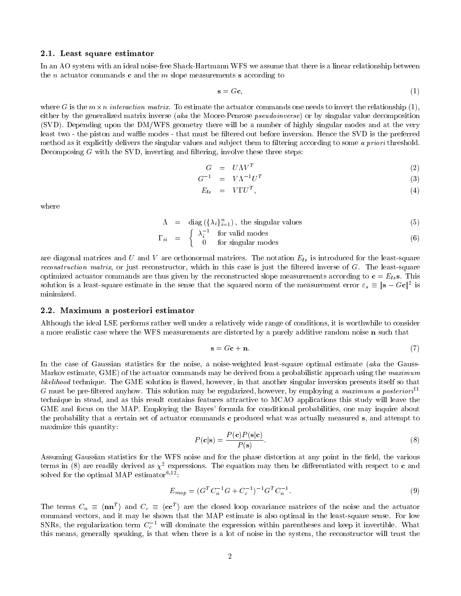### 2.1. Least square estimator

In an AO system with an ideal noise-free Shack-Hartmann WFS we assume that there is a linear relationship between the *n* actuator commands **c** and the *m* slope measurements **s** according to

$$
\mathbf{s} = G\mathbf{c},\tag{1}
$$

where G is the  $m \times n$  *interaction matrix.* To estimate the actuator commands one needs to invert the relationship (1), either by the generalized matrix inverse (aka the Moore-Penrose *pseudoinverse*) or by singular value decomposition (SVD). Depending upon the DM/WFS geometry there will be a number of highly singular modes and at the very least two - the piston and waffle modes - that must be filtered out before inversion. Hence the SVD is the preferred method as it explicitly delivers the singular values and subject them to filtering according to some a priori threshold. Decomposing  $G$  with the SVD, inverting and filtering, involve these three steps:

$$
G = U\Lambda V^T \tag{2}
$$

$$
G^{-1} = V\Lambda^{-1}U^T \tag{3}
$$

$$
E_{ls} = V\Gamma U^{I}, \qquad (4)
$$

where

$$
\Lambda = \text{diag}(\{\lambda_i\}_{i=1}^n), \text{ the singular values } (5)
$$

$$
\Gamma_{ii} = \begin{cases} \lambda_i^{-1} & \text{for valid modes} \\ 0 & \text{for singular modes} \end{cases}
$$
 (6)

are diagonal matrices and U and V are orthonormal matrices. The notation Els is introduced for the least-square *reconstruction matrix*, or just reconstructor, which in this case is just the filtered inverse of  $G$ . The least-square optimized actuator commands are thus given by the reconstructed slope measurements according to  $\mathbf{c} = E_{ls} \mathbf{s}$ . This solution is a least-square estimate in the sense that the squared norm of the measurement error  $\varepsilon_s \equiv |\mathbf{s} - G\mathbf{c}|^2$  is minimized.

# 2.2. Maximum a posteriori estimator

Although the ideal LSE performs rather well under a relatively wide range of conditions, it is worthwhile to consider a more realistic case where the WFS measurements are distorted by a purely additive random noise n such that

$$
\mathbf{s} = G\mathbf{c} + \mathbf{n}.\tag{7}
$$

In the case of Gaussian statistics for the noise, a noise-weighted least-square optimal estimate (aka the Gauss-Markov estimate, GME) of the actuator commands may be derived from a probabilistic approach using the maximum likelihood technique. The GME solution is flawed, however, in that another singular inversion presents itself so that G must be pre-filtered anyhow. This solution may be regularized, however, by employing a maximum a posteriori<sup>11</sup> technique in stead, and as this result contains features attractive to MCAO applications this study will leave the GME and focus on the MAP. Employing the Bayes' formula for conditional probabilities, one may inquire about the probability that a certain set of actuator commands c produced what was actually measured s, and attempt to maximize this quantity:

$$
P(\mathbf{c}|\mathbf{s}) = \frac{P(\mathbf{c})P(\mathbf{s}|\mathbf{c})}{P(\mathbf{s})}.
$$
 (8)

Assuming Gaussian statistics for the WFS noise and for the phase distortion at any point in the field, the various terms in (8) are readily derived as  $\chi^2$  expressions. The equation may then be differentiated with respect to **c** and solved for the optimal MAP estimator<sup>6,12</sup>:

$$
E_{map} = (G^T C_n^{-1} G + C_c^{-1})^{-1} G^T C_n^{-1}.
$$
\n(9)

The terms  $C_n \equiv \langle \mathbf{n} \mathbf{n}^T \rangle$  and  $C_c \equiv \langle \mathbf{c} \mathbf{c}^T \rangle$  are the closed loop covariance matrices of the noise and the actuator command vectors, and it may be shown that the MAP estimate is also optimal in the least-square sense. For low SNRs, the regularization term  $C_c$  – will dominate the expression within parentheses and keep it invertible. What this means, generally speaking, is that when there is a lot of noise in the system, the reconstructor will trust the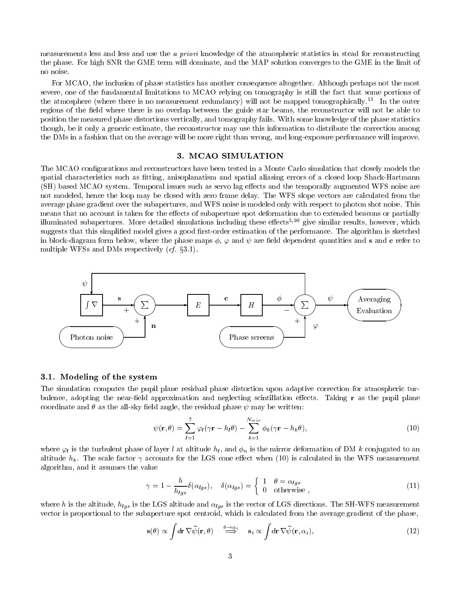measurements less and less and use the a priori knowledge of the atmospheric statistics in stead for reconstructing the phase. For high SNR the GME term will dominate, and the MAP solution converges to the GME in the limit of no noise.

For MCAO, the inclusion of phase statistics has another consequence altogether. Although perhaps not the most severe, one of the fundamental limitations to MCAO relying on tomography is still the fact that some portions of the atmosphere (where there is no measurement redundancy) will not be mapped tomographically.<sup>13</sup> In the outer regions of the field where there is no overlap between the guide star beams, the reconstructor will not be able to position the measured phase distortions vertically, and tomography fails. With some knowledge of the phase statistics though, be it only a generic estimate, the reconstructor may use this information to distribute the correction among the DMs in a fashion that on the average will be more right than wrong, and long-exposure performance will improve.

# 3. MCAO SIMULATION

The MCAO configurations and reconstructors have been tested in a Monte Carlo simulation that closely models the spatial characteristics such as fitting, anisoplanatism and spatial aliasing errors of a closed loop Shack-Hartmann (SH) based MCAO system. Temporal issues such as servo lag effects and the temporally augmented WFS noise are not modeled, hence the loop may be closed with zero frame delay. The WFS slope vectors are calculated from the average phase gradient over the subapertures, and WFS noise is modeled only with respect to photon shot noise. This means that no account is taken for the effects of subaperture spot deformation due to extended beacons or partially illuminated subapertures. More detailed simulations including these effects<sup>5,10</sup> give similar results, however, which suggests that this simplified model gives a good first-order estimation of the performance. The algorithm is sketched in block-diagram form below, where the phase maps  $\phi$ ,  $\varphi$  and  $\psi$  are field dependent quantities and s and c refer to multiple WFSs and DMs respectively  $(cf. \$ \$3.1).



#### 3.1. Modeling of the system

The simulation computes the pupil plane residual phase distortion upon adaptive correction for atmospheric turbulence, adopting the near-field approximation and neglecting scintillation effects. Taking  $\bf{r}$  as the pupil plane coordinate and  $\theta$  as the all-sky field angle, the residual phase  $\psi$  may be written:

$$
\psi(\mathbf{r}, \theta) = \sum_{l=1}^{7} \varphi_l(\gamma \mathbf{r} - h_l \theta) - \sum_{k=1}^{N_{min}} \phi_k(\gamma \mathbf{r} - h_k \theta), \qquad (10)
$$

where  $\varphi_l$  is the turbulent phase of layer l at altitude  $h_l$ , and  $\phi_n$  is the mirror deformation of DM k conjugated to an altitude  $h_k$ . The scale factor  $\gamma$  accounts for the LGS cone effect when (10) is calculated in the WFS measurement algorithm, and it assumes the value

$$
\gamma = 1 - \frac{h}{h_{lgs}} \delta(\alpha_{lgs}), \quad \delta(\alpha_{lgs}) = \begin{cases} 1 & \theta = \alpha_{lgs} \\ 0 & \text{otherwise} \end{cases}, \tag{11}
$$

where h is the altitude  $_{1}$  hlgs is the LGS altitude and liggs is the vector of LGS directions. The SH-WFS measurement vector is proportional to the subaperture spot centroid, which is calculated from the average gradient of the phase,

$$
\mathbf{s}(\theta) \propto \int d\mathbf{r} \nabla \widetilde{\psi}(\mathbf{r}, \theta) \stackrel{\theta \to \alpha_i}{\Longrightarrow} \mathbf{s}_i \propto \int d\mathbf{r} \nabla \widetilde{\psi}(\mathbf{r}, \alpha_i), \tag{12}
$$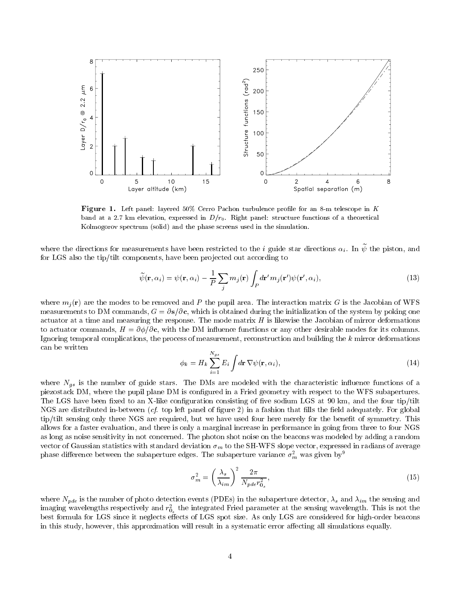

Figure 1. Left panel: layered 50% Cerro Pachon turbulence profile for an 8-m telescope in K band at a 2.7 km elevation, expressed in  $D/r_0$ . Right panel: structure functions of a theoretical Kolmogorov spectrum (solid) and the phase screens used in the simulation.

where the directions for measurements have been restricted to the  $i$  guide star directions  $\alpha_i$ . In  $\psi$  the piston, and for LGS also the tip/tilt components, have been projected out according to

$$
\widetilde{\psi}(\mathbf{r}, \alpha_i) = \psi(\mathbf{r}, \alpha_i) - \frac{1}{P} \sum_j m_j(\mathbf{r}) \int_P d\mathbf{r}' m_j(\mathbf{r}') \psi(\mathbf{r}', \alpha_i), \tag{13}
$$

where mj (r) are the modes to be removed and P the pupil area. The interaction matrix G is the Jacobian of WFS measurements to DM commands,  $G = \partial s/\partial c$ , which is obtained during the initialization of the system by poking one actuator at a time and measuring the response. The mode matrix  $H$  is likewise the Jacobian of mirror deformations to actuator commands,  $H = \partial \phi / \partial c$ , with the DM influence functions or any other desirable modes for its columns. Ignoring temporal complications, the process of measurement, reconstruction and building the <sup>k</sup> mirror deformations can be written

$$
\phi_k = H_k \sum_{i=1}^{N_{gs}} E_i \int d\mathbf{r} \, \nabla \psi(\mathbf{r}, \alpha_i), \tag{14}
$$

where  $\sim$  10  $^{\circ}$  is the number of are guide stars. The DMs are modeled with the characteristic interventions of a piezostack DM, where the pupil plane DM is congured in a Fried geometry with respect to the WFS subapertures. The LGS have been fixed to an X-like configuration consisting of five sodium LGS at 90 km, and the four tip/tilt NGS are distributed in-between  $(cf.$  top left panel of figure 2) in a fashion that fills the field adequately. For global tip/tilt sensing only three NGS are required, but we have used four here merely for the benefit of symmetry. This allows for a faster evaluation, and there is only a marginal increase in performance in going from three to four NGS as long as noise sensitivity in not concerned. The photon shot noise on the beacons was modeled by adding a random vector of Gaussian statistics with statistical deviation m to the SH-WFS slope vector, expressed in radians of average phase difference between the subaperture edges. The subaperture variance  $\sigma_m^2$  was given by  $9$ 

$$
\sigma_m^2 = \left(\frac{\lambda_s}{\lambda_{im}}\right)^2 \frac{2\pi}{N_{pde}r_{0_s}^2},\tag{15}
$$

where Npde is the number of photo detection events (PDEs) in the subaperture detector, s and im the sensing and imaging wavelengths respectively and  $r_{0_s}$  the integrated Fried parameter at the sensing wavelength. This is not the best formula for LGS since it neglects effects of LGS spot size. As only LGS are considered for high-order beacons in this study, however, this approximation will result in a systematic error affecting all simulations equally.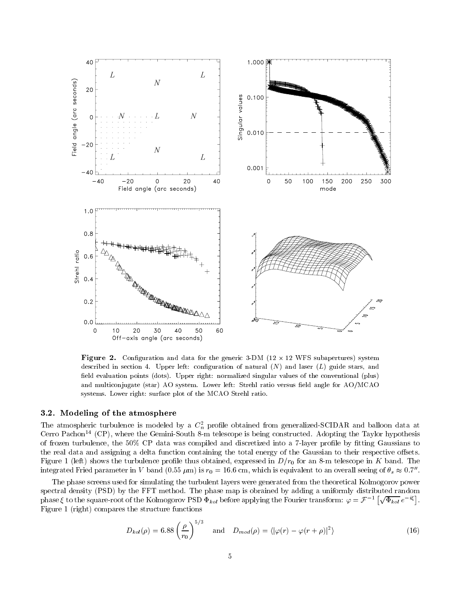

Figure 2. Conguration and data for the generic 3-DM (12 - 12 WFS subapertures) system described in section 4. Upper left: configuration of natural  $(N)$  and laser  $(L)$  guide stars, and field evaluation points (dots). Upper right: normalized singular values of the conventional (plus) and multiconjugate (star) AO system. Lower left: Strehl ratio versus field angle for AO/MCAO systems. Lower right: surface plot of the MCAO Strehl ratio.

# 3.2. Modeling of the atmosphere

The atmospheric turbulence is modeled by a  $C_n^-$  profile obtained from generalized-SCIDAR and balloon data at Cerro Pachon14 (CP), where the Gemini-South 8-m telescope is being constructed. Adopting the Taylor hypothesis of frozen turbulence, the 50% CP data was compiled and discretized into a 7-layer profile by fitting Gaussians to the real data and assigning a delta function containing the total energy of the Gaussian to their respective offsets. Figure 1 (left) shows the turbulence profile thus obtained, expressed in  $D/r_0$  for an 8-m telescope in K band. The integrated Fried parameter in V band (0.55  $\mu$ m) is  $r_0 = 16.6$  cm, which is equivalent to an overall seeing of  $\theta_s \approx 0.7$ ".

The phase screens used for simulating the turbulent layers were generated from the theoretical Kolmogorov power spectral density (PSD) by the FFT method. The phase map is obrained by adding a uniformly distributed random phase  $\xi$  to the square-root of the Kolmogorov PSD  $\Phi_{kol}$  before applying the Fourier transform:  $\varphi = \mathcal{F}^{-1} \left[ \sqrt{\Phi_{kol}} e^{-i\xi} \right]$ . Figure 1 (right) compares the structure functions

$$
D_{kol}(\rho) = 6.88 \left(\frac{\rho}{r_0}\right)^{5/3} \quad \text{and} \quad D_{mod}(\rho) = \langle |\varphi(r) - \varphi(r+\rho)|^2 \rangle \tag{16}
$$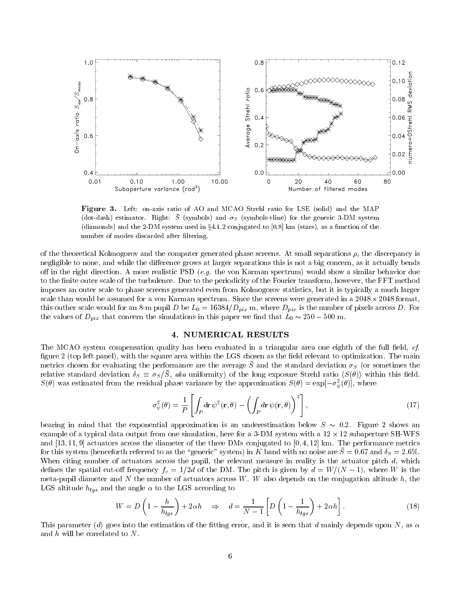

Figure 3. Left: on-axis ratio of AO and MCAO Strehl ratio for LSE (solid) and the MAP (dot-dash) estimator. Right:  $\bar{S}$  (symbols) and  $\sigma_S$  (symbols+line) for the generic 3-DM system (diamonds) and the 2-DM system used in  $\S 4.1.2$  conjugated to [0,8] km (stars), as a function of the number of modes discarded after filtering.

of the theoretical Kolmogorov and the computer generated phase screens. At small separations  $\rho$ , the discrepancy is negligible to none, and while the difference grows at larger separations this is not a big concern, as it actually bends off in the right direction. A more realistic PSD (e.g. the von Karman spectrum) would show a similar behavior due to the finite outer scale of the turbulence. Due to the periodicity of the Fourier transform, however, the FFT method imposes an outer scale to phase screens generated even from Kolmogorov statistics, but it is typically a much larger scale than would be assumed for a von Karman spectrum. Since the screens were generated in a 2048  $\times$  2048 format, this outher scale would for an 8-m pupil D be  $L_0 = 16384/D_{pix}$  m, where  $D_{pix}$  is the number of pixels across D. For the values of  $D_{nix}$  that concern the simulations in this paper we find that  $L_0 \sim 250 - 300$  m.

# 4. NUMERICAL RESULTS

The MCAO system compensation quality has been evaluated in a triangular area one eighth of the full field, *cf.* figure 2 (top left panel), with the square area within the LGS chosen as the field relevant to optimization. The main  $m$ etrics chosen for evaluating the performance are the average  $\beta$  and the standard deviation  $\sigma_S$  (or sometimes the relative standard deviation  $\delta_S \equiv \sigma_S/S$ , aka uniformity) of the long exposure Strehl ratio  $\langle S(\theta) \rangle$  within this field.  $S(\theta)$  was estimated from the residual phase variance by the approximation  $S(\theta) = \exp[-\sigma_{\psi}^2(\theta)]$ , where

$$
\sigma_{\psi}^{2}(\theta) = \frac{1}{P} \left[ \int_{P} d\mathbf{r} \, \psi^{2}(\mathbf{r}, \theta) - \left( \int_{P} d\mathbf{r} \, \psi(\mathbf{r}, \theta) \right)^{2} \right],\tag{17}
$$

bearing in mind that the exponential approximation is an underestimation below  $S \sim 0.2$ . Figure 2 shows an example of a typical data output from one simulation, here for a 3-DM system with a 12  $\times$  12 subaperture SH-WFS and  $[13, 11, 9]$  actuators across the diameter of the three DMs conjugated to  $[0, 4, 12]$  km. The performance metrics for this system (henceforth referred to as the  $\frac{1}{2}$  generic  $\frac{1}{2}$  system) in K band with no noise are  $S = 0.67$  and  $\frac{1}{2}$  = 2:6%. When citing number of actuators across the pupil, the relevant measure in reality is the actuator pitch  $d$ , which defines the spatial cut-on frequency  $f_c = 1/2a$  of the DM. The pitch is given by  $a = W/(N - 1)$ , where W is the meta-pupil diameter and N the number of actuators across  $W$ . W also depends on the conjugation altitude  $h$ , the Let a the altitude high altitude the angle  $\sim$  to the LGS according to the angle  $\sim$ 

$$
W = D\left(1 - \frac{h}{h_{lgs}}\right) + 2\alpha h \quad \Rightarrow \quad d = \frac{1}{N - 1} \left[ D\left(1 - \frac{1}{h_{lgs}}\right) + 2\alpha h \right]. \tag{18}
$$

This parameter (d) goes into the estimation of the fitting error, and it is seen that d mainly depends upon N, as  $\alpha$ and  $h$  will be correlated to  $N$ .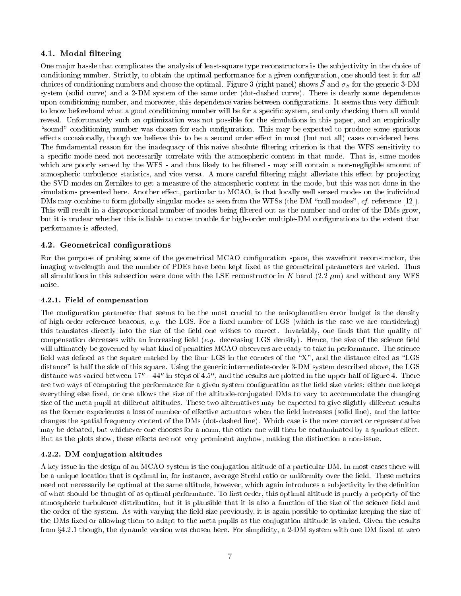# 4.1. Modal filtering

One ma jor hassle that complicates the analysis of least-square type reconstructors is the sub jectivity in the choice of conditioning number. Strictly, to obtain the optimal performance for a given configuration, one should test it for all choices of conditioning numbers and choose the optimal. Figure 5 (Figure panel) shows D and  $\sigma_S$  for the generic 5-DM system (solid curve) and a 2-DM system of the same order (dot-dashed curve). There is clearly some dependence upon conditioning number, and moreover, this dependence varies between configurations. It seems thus very difficult to know beforehand what a good conditioning number will be for a specic system, and only checking them all would reveal. Unfortunately such an optimization was not possible for the simulations in this paper, and an empirically "sound" conditioning number was chosen for each configuration. This may be expected to produce some spurious effects occasionally, though we believe this to be a second order effect in most (but not all) cases considered here. The fundamental reason for the inadequacy of this naive absolute filtering criterion is that the WFS sensitivity to a specic mode need not necessarily correlate with the atmospheric content in that mode. That is, some modes which are poorly sensed by the WFS - and thus likely to be filtered - may still contain a non-negligible amount of atmospheric turbulence statistics, and vice versa. A more careful filtering might alleviate this effect by projecting the SVD modes on Zernikes to get a measure of the atmospheric content in the mode, but this was not done in the simulations presented here. Another effect, particular to MCAO, is that locally well sensed modes on the individual DMs may combine to form globally singular modes as seen from the WFSs (the DM "null modes", cf. reference [12]). This will result in a disproportional number of modes being filtered out as the number and order of the DMs grow, but it is unclear whether this is liable to cause trouble for high-order multiple-DM congurations to the extent that performance is affected.

# 4.2. Geometrical configurations

For the purpose of probing some of the geometrical MCAO configuration space, the wavefront reconstructor, the imaging wavelength and the number of PDEs have been kept fixed as the geometrical parameters are varied. Thus all simulations in this subsection were done with the LSE reconstructor in K band  $(2.2 \mu m)$  and without any WFS noise.

# 4.2.1. Field of compensation

The configuration parameter that seems to be the most crucial to the anisoplanatism error budget is the density of high-order reference beacons, e.g. the LGS. For a fixed number of LGS (which is the case we are considering) this translates directly into the size of the field one wishes to correct. Invariably, one finds that the quality of compensation decreases with an increasing field  $(e.g.$  decreasing LGS density). Hence, the size of the science field will ultimately be governed by what kind of penalties MCAO observers are ready to take in performance. The science field was defined as the square marked by the four LGS in the corners of the " $X$ ", and the distance cited as "LGS distance" is half the side of this square. Using the generic intermediate-order 3-DM system described above, the LGS distance was varied between  $17'' - 44''$  in steps of 4.5", and the results are plotted in the upper half of figure 4. There are two ways of comparing the performance for a given system configuration as the field size varies: either one keeps everything else fixed, or one allows the size of the altitude-conjugated DMs to vary to accommodate the changing size of the meta-pupil at different altitudes. These two alternatives may be expected to give slightly different results as the former experiences a loss of number of effective actuators when the field increases (solid line), and the latter changes the spatial frequency content of the DMs (dot-dashed line). Which case is the more correct or representative may be debated, but whichever one chooses for a norm, the other one will then be contaminated by a spurious effect. But as the plots show, these effects are not very prominent anyhow, making the distinction a non-issue.

# 4.2.2. DM conjugation altitudes

A key issue in the design of an MCAO system is the conjugation altitude of a particular DM. In most cases there will be a unique location that is optimal in, for instance, average Strehl ratio or uniformity over the field. These metrics need not necessarily be optimal at the same altitude, however, which again introduces a subjectivity in the definition of what should be thought of as optimal performance. To first order, this optimal altitude is purely a property of the atmospheric turbulence distribution, but it is plausible that it is also a function of the size of the science field and the order of the system. As with varying the field size previously, it is again possible to optimize keeping the size of the DMs fixed or allowing them to adapt to the meta-pupils as the conjugation altitude is varied. Given the results from  $\S 4.2.1$  though, the dynamic version was chosen here. For simplicity, a 2-DM system with one DM fixed at zero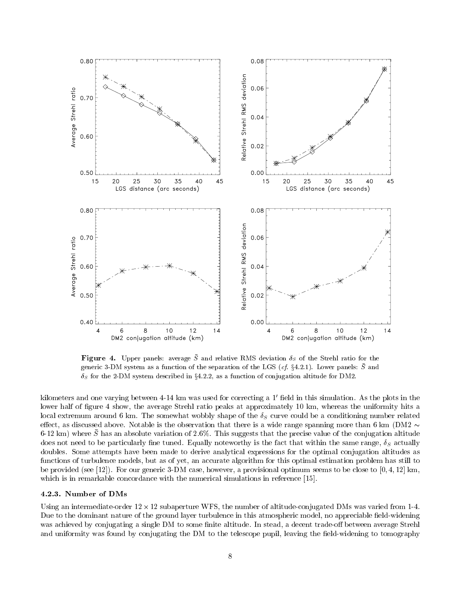

**Figure 4.** Upper panels: average S and relative RMS deviation  $\delta_S$  of the Strehl ratio for the generic 3-DM system as a function of the separation of the LGS (cf.  $x_4, z_1, z_2, z_3, z_4, z_5, z_6, z_7, z_8, z_9, z_1, z_2, z_3, z_4, z_5, z_6, z_7, z_8, z_9, z_1, z_2, z_3, z_4, z_6, z_7, z_8, z_9, z_1, z_2, z_3, z_4, z_6, z_7, z_8, z_9, z_1, z_2, z_3,$  $\delta_S$  for the 2-DM system described in §4.2.2, as a function of conjugation altitude for DM2.

kilometers and one varying between  $4-14$  km was used for correcting a  $1'$  field in this simulation. As the plots in the lower half of figure 4 show, the average Strehl ratio peaks at approximately 10 km, whereas the uniformity hits a local extremum around 6 km. The somewhat wobbly shape of the S curve could be a conditioning number related effect, as discussed above. Notable is the observation that there is a wide range spanning more than 6 km (DM2  $\sim$ 6-12 km) where  $\bar{S}$  has an absolute variation of 2.6%. This suggests that the precise value of the conjugation altitude does not not need to be particularly note with the fact that with the fact that within the same range, S actually is the fact that with the same range, S actually is the same range, S actually is the same range, S actuall doubles. Some attempts have been made to derive analytical expressions for the optimal conjugation altitudes as functions of turbulence models, but as of yet, an accurate algorithm for this optimal estimation problem has still to be provided (see [12]). For our generic 3-DM case, however, a provisional optimum seems to be close to  $[0, 4, 12]$  km, which is in remarkable concordance with the numerical simulations in reference [15].

#### 4.2.3. Number of DMs

Using an intermediate-order 12 × 12 subaperture WFS, the number of altitude-conjugated DMs was varied from 1-4. Due to the dominant nature of the ground layer turbulence in this atmospheric model, no appreciable field-widening was achieved by conjugating a single DM to some finite altitude. In stead, a decent trade-off between average Strehl and uniformity was found by conjugating the DM to the telescope pupil, leaving the field-widening to tomography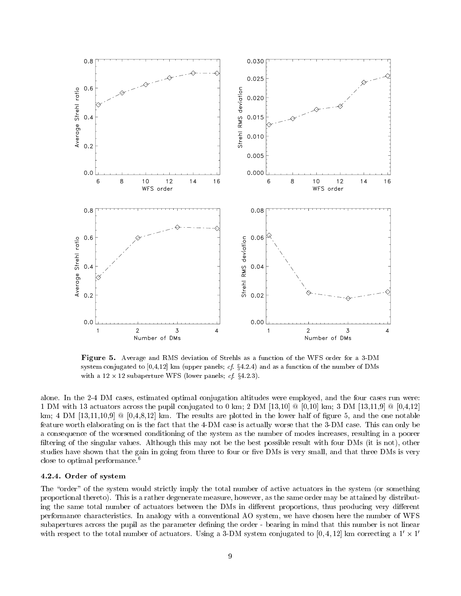

Figure 5. Average and RMS deviation of Strehls as a function of the WFS order for a 3-DM system conjugated to  $[0,4,12]$  km (upper panels; cf.  $\S 4.2.4$ ) and as a function of the number of DMs  $\ldots$  and  $\ldots$  and  $\ldots$  are  $\ldots$  . The subset of  $\ldots$  and  $\ldots$  are  $\ldots$  and  $\ldots$ 

alone. In the 2-4 DM cases, estimated optimal conjugation altitudes were employed, and the four cases run were: 1 DM with 13 actuators across the pupil conjugated to 0 km; 2 DM [13,10]  $\&$  [0,10] km; 3 DM [13,11,9]  $\&$  [0,4,12] km; 4 DM  $[13,11,10,9]$  @  $[0,4,8,12]$  km. The results are plotted in the lower half of figure 5, and the one notable feature worth elaborating on is the fact that the 4-DM case is actually worse that the 3-DM case. This can only be a consequence of the worsened conditioning of the system as the number of modes increases, resulting in a poorer filtering of the singular values. Although this may not be the best possible result with four DMs (it is not), other studies have shown that the gain in going from three to four or five DMs is very small, and that three DMs is very close to optimal performance.<sup>6</sup>

# 4.2.4. Order of system

The "order" of the system would strictly imply the total number of active actuators in the system (or something proportional thereto). This is a rather degenerate measure, however, as the same order may be attained by distributing the same total number of actuators between the DMs in different proportions, thus producing very different performance characteristics. In analogy with a conventional AO system, we have chosen here the number of WFS subapertures across the pupil as the parameter defining the order - bearing in mind that this number is not linear with respect to the total number of actuators. Using a 3-DM system conjugated to  $[0,4,12]$  km correcting a  $1^{\prime}\times1^{\prime}$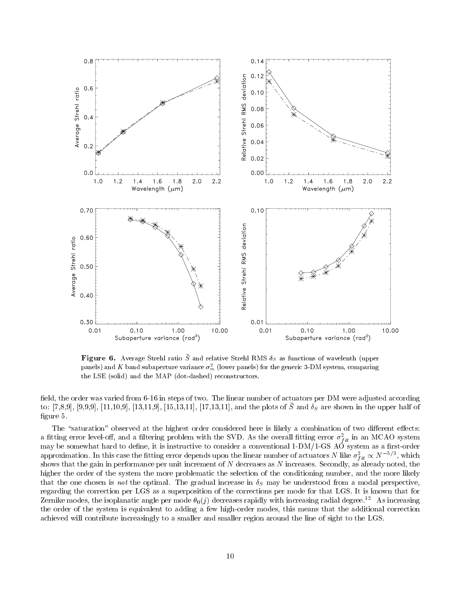

**Figure 6.** Average Strehl ratio S and relative Strehl RMS  $\delta_S$  as functions of wavelenth (upper panels) and K band subaperture variance  $\sigma_m^2$  (lower panels) for the generic 3-DM system, comparing the LSE (solid) and the MAP (dot-dashed) reconstructors.

field, the order was varied from 6-16 in steps of two. The linear number of actuators per DM were adjusted according  $\{0, 1, 0, 0\}$ ,  $[3, 9, 9, 9]$ ,  $[11, 10, 9]$ ,  $[10, 11, 9]$ ,  $[10, 10, 11]$ ,  $[11, 10, 11]$ , and the plots of D and  $0<sub>S</sub>$  are shown in the upper half of figure 5.

The "saturation" observed at the highest order considered here is likely a combination of two different effects: a inting error level-on, and a intering problem with the SVD. As the overall nuting error  $\sigma_{fit}^2$  in an MCAO system may be somewhat hard to define, it is instructive to consider a conventional 1-DM/1-GS AO system as a first-order approximation. In this case the fitting error depends upon the linear number of actuators *N* like  $\sigma_{fit}^2 \propto N^{-3/2}$ , which shows that the gain in performance per unit increment of <sup>N</sup> decreases as <sup>N</sup> increases. Secondly, as already noted, the higher the order of the system the more problematic the selection of the conditioning number, and the more likely that the one chosen is not the optimal. The gradual increase in S may be understood from a modal perspective, regarding the correction per LGS as a superposition of the corrections per mode for that LGS. It is known that for Zernike modes, the isoplanatic angle per mode  $\theta_0(j)$  decreases rapidly with increasing radial degree.<sup>12</sup> As increasing the order of the system is equivalent to adding a few high-order modes, this means that the additional correction achieved will contribute increasingly to a smaller and smaller region around the line of sight to the LGS.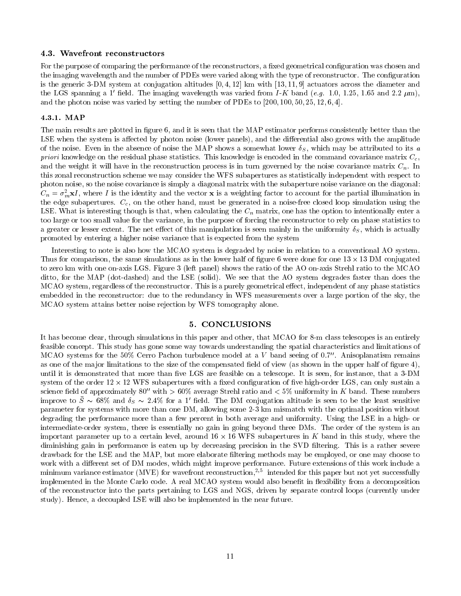#### 4.3. Wavefront reconstructors

For the purpose of comparing the performance of the reconstructors, a fixed geometrical configuration was chosen and the imaging wavelength and the number of PDEs were varied along with the type of reconstructor. The configuration is the generic 3-DM system at conjugation altitudes  $[0, 4, 12]$  km with  $[13, 11, 9]$  actuators across the diameter and the LGS spanning a 1' field. The imaging wavelength was varied from I-K band (e.g. 1.0, 1.25, 1.65 and 2.2  $\mu$ m), and the photon noise was varied by setting the number of PDEs to  $[200, 100, 50, 25, 12, 6, 4]$ .

### 4.3.1. MAP

The main results are plotted in figure 6, and it is seen that the MAP estimator performs consistently better than the LSE when the system is affected by photon noise (lower panels), and the differential also grows with the amplitude of the noise. Even in the absence of noise the MAP shows a somewhat lower S , which may be attributed to its <sup>a</sup> priori knowledge on the residual phase statistics. This knowledge is encoded in the command covariance matrix  $C_c$ , and the weight it will have in the reconstruction process is in turn governed by the noise covariance matrix  $C_n$ . In this zonal reconstruction scheme we may consider the WFS subapertures as statistically independent with respect to photon noise, so the noise covariance is simply a diagonal matrix with the subaperture noise variance on the diagonal:  $C_n = \sigma_m^+ x I$ , where I is the identity and the vector  $x$  is a weighting factor to account for the partial illumination in the edge subapertures.  $C_c$ , on the other hand, must be generated in a noise-free closed loop simulation using the LSE. When is interesting that  $\alpha$  is that, when calculating the Cn matrix, one has the option to interest  $\alpha$ too large or too small value for the variance, in the purpose of forcing the reconstructor to rely on phase statistics to a greater or lesser extent. The net extent of this manipulation is seen manipulation and uniformly S , which is actually S , which is actually S , which is actually s , which is actually s , which is actually strong and in promoted by entering a higher noise variance that is expected from the system

Interesting to note is also how the MCAO system is degraded by noise in relation to a conventional AO system. Thus for comparison, the same simulations as in the lower half of figure 6 were done for one  $13 \times 13$  DM conjugated to zero km with one on-axis LGS. Figure 3 (left panel) shows the ratio of the AO on-axis Strehl ratio to the MCAO ditto, for the MAP (dot-dashed) and the LSE (solid). We see that the AO system degrades faster than does the MCAO system, regardless of the reconstructor. This is a purely geometrical effect, independent of any phase statistics embedded in the reconstructor: due to the redundancy in WFS measurements over a large portion of the sky, the MCAO system attains better noise rejection by WFS tomography alone.

# 5. CONCLUSIONS

It has become clear, through simulations in this paper and other, that MCAO for 8-m class telescopes is an entirely feasible concept. This study has gone some way towards understanding the spatial characteristics and limitations of MCAO systems for the 50% Cerro Pachon turbulence model at a V band seeing of 0.7". Anisoplanatism remains as one of the major limitations to the size of the compensated field of view (as shown in the upper half of figure  $4$ ), until it is demonstrated that more than five LGS are feasible on a telescope. It is seen, for instance, that a 3-DM system of the order 12 × 12 WFS subapertures with a fixed configuration of five high-order LGS, can only sustain a science field of approximately 80" with  $> 60\%$  average Strehl ratio and  $< 5\%$  uniformity in K band. These numbers improve to  $S \sim 08$ % and  $\theta_S \sim 2.4$ % for a 1 held. The DM conjugation altitude is seen to be the least sensitive parameter for systems with more than one DM, allowing some 2-3 km mismatch with the optimal position without degrading the performance more than a few percent in both average and uniformity. Using the LSE in a high- or intermediate-order system, there is essentially no gain in going beyond three DMs. The order of the system is an important parameter up to a certain level, around 16  $\times$  16 WFS subapertures in K band in this study, where the diminishing gain in performance is eaten up by decreasing precision in the SVD filtering. This is a rather severe drawback for the LSE and the MAP, but more elaborate ltering methods may be employed, or one may choose to work with a different set of DM modes, which might improve performance. Future extensions of this work include a minimum variance estimator (MVE) for wavefront reconstruction,<sup>2,5</sup> intended for this paper but not yet successfully implemented in the Monte Carlo code. A real MCAO system would also benefit in flexibility from a decomposition of the reconstructor into the parts pertaining to LGS and NGS, driven by separate control loops (currently under study). Hence, a decoupled LSE will also be implemented in the near future.